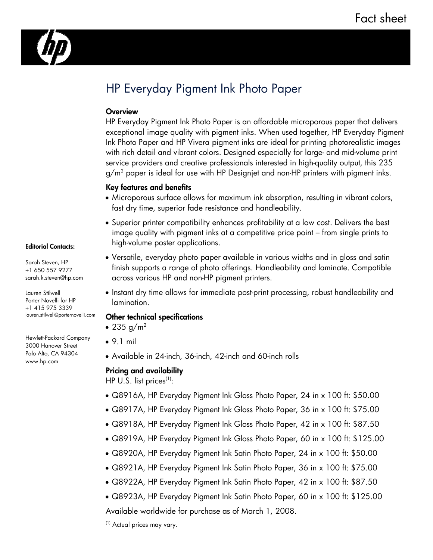

# HP Everyday Pigment Ink Photo Paper

## **Overview**

HP Everyday Pigment Ink Photo Paper is an affordable microporous paper that delivers exceptional image quality with pigment inks. When used together, HP Everyday Pigment Ink Photo Paper and HP Vivera pigment inks are ideal for printing photorealistic images with rich detail and vibrant colors. Designed especially for large- and mid-volume print service providers and creative professionals interested in high-quality output, this 235 g/m $^2$  paper is ideal for use with HP Designjet and non-HP printers with pigment inks.

### Key features and benefits

- Microporous surface allows for maximum ink absorption, resulting in vibrant colors, fast dry time, superior fade resistance and handleability.
- Superior printer compatibility enhances profitability at a low cost. Delivers the best image quality with pigment inks at a competitive price point – from single prints to high-volume poster applications.
- Versatile, everyday photo paper available in various widths and in gloss and satin finish supports a range of photo offerings. Handleability and laminate. Compatible across various HP and non-HP pigment printers.
- Instant dry time allows for immediate post-print processing, robust handleability and lamination.

### Other technical specifications

- $\bullet$  235 g/m<sup>2</sup>
- 9.1 mil
- Available in 24-inch, 36-inch, 42-inch and 60-inch rolls

### Pricing and availability

HP U.S. list prices<sup>(1)</sup>:

- Q8916A, HP Everyday Pigment Ink Gloss Photo Paper, 24 in x 100 ft: \$50.00
- Q8917A, HP Everyday Pigment Ink Gloss Photo Paper, 36 in x 100 ft: \$75.00
- Q8918A, HP Everyday Pigment Ink Gloss Photo Paper, 42 in x 100 ft: \$87.50
- Q8919A, HP Everyday Pigment Ink Gloss Photo Paper, 60 in x 100 ft: \$125.00
- Q8920A, HP Everyday Pigment Ink Satin Photo Paper, 24 in x 100 ft: \$50.00
- Q8921A, HP Everyday Pigment Ink Satin Photo Paper, 36 in x 100 ft: \$75.00
- Q8922A, HP Everyday Pigment Ink Satin Photo Paper, 42 in x 100 ft: \$87.50
- Q8923A, HP Everyday Pigment Ink Satin Photo Paper, 60 in x 100 ft: \$125.00

Available worldwide for purchase as of March 1, 2008.

(1) Actual prices may vary.

#### Editorial Contacts:

Sarah Steven, HP +1 650 557 9277 sarah.k.steven@hp.com

Lauren Stilwell Porter Novelli for HP +1 415 975 3339 lauren.stilwell@porternovelli.com

Hewlett-Packard Company 3000 Hanover Street Palo Alto, CA 94304 www.hp.com